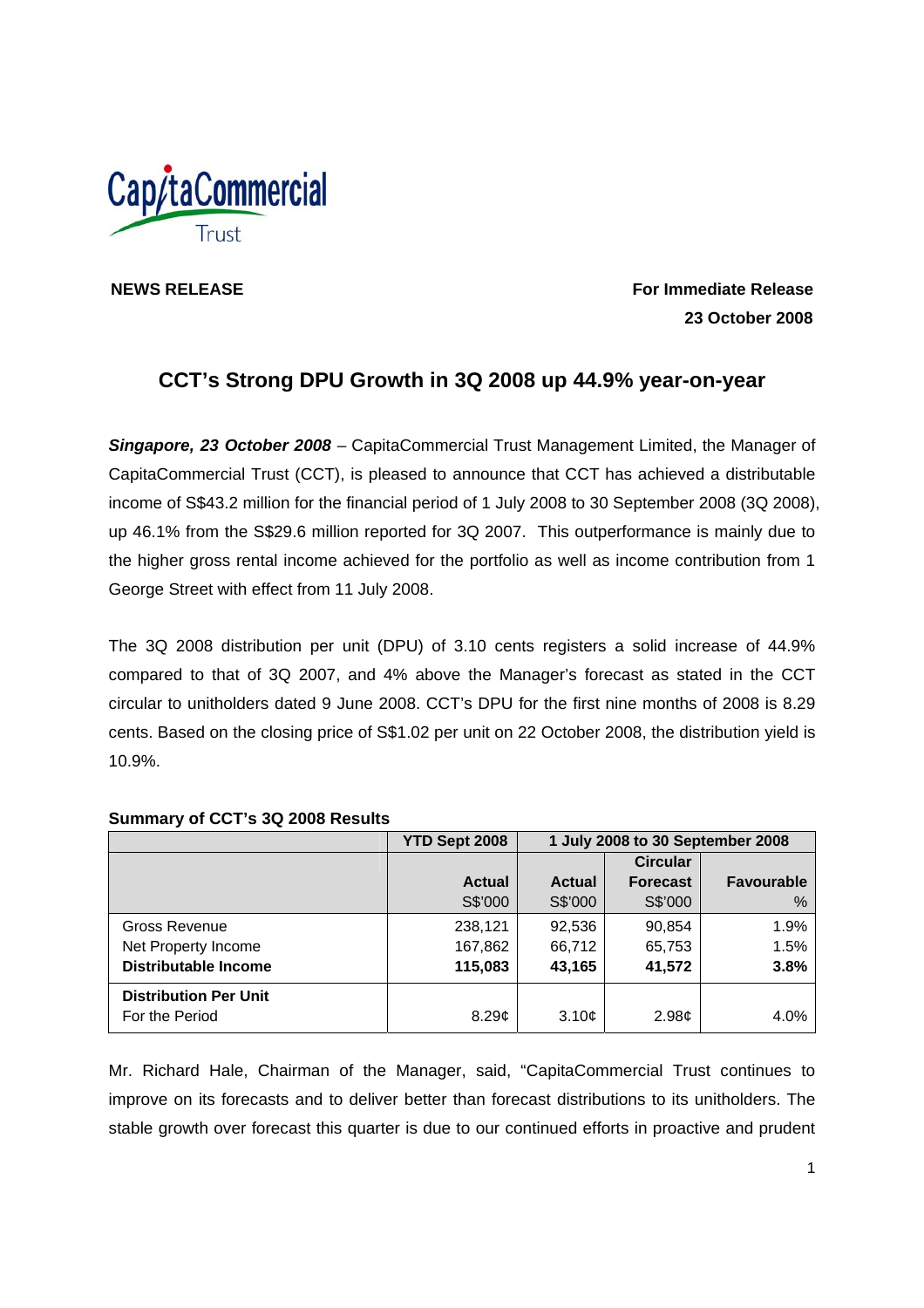

**NEWS RELEASE For Immediate Release 23 October 2008** 

# **CCT's Strong DPU Growth in 3Q 2008 up 44.9% year-on-year**

*Singapore, 23 October 2008* – CapitaCommercial Trust Management Limited, the Manager of CapitaCommercial Trust (CCT), is pleased to announce that CCT has achieved a distributable income of S\$43.2 million for the financial period of 1 July 2008 to 30 September 2008 (3Q 2008), up 46.1% from the S\$29.6 million reported for 3Q 2007. This outperformance is mainly due to the higher gross rental income achieved for the portfolio as well as income contribution from 1 George Street with effect from 11 July 2008.

The 3Q 2008 distribution per unit (DPU) of 3.10 cents registers a solid increase of 44.9% compared to that of 3Q 2007, and 4% above the Manager's forecast as stated in the CCT circular to unitholders dated 9 June 2008. CCT's DPU for the first nine months of 2008 is 8.29 cents. Based on the closing price of S\$1.02 per unit on 22 October 2008, the distribution yield is 10.9%.

#### **YTD Sept 2008 1 July 2008 to 30 September 2008 Actual** S\$'000 **Actual** S\$'000 **Circular Forecast**  S\$'000 Gross Revenue Net Property Income 238,121 167,862 92,536 66,712 90,854 65,753

## **Summary of CCT's 3Q 2008 Results**

**Distributable Income** 

**Distribution Per Unit** 

Mr. Richard Hale, Chairman of the Manager, said, "CapitaCommercial Trust continues to improve on its forecasts and to deliver better than forecast distributions to its unitholders. The stable growth over forecast this quarter is due to our continued efforts in proactive and prudent

For the Period **6.29¢** 8.29¢ 3.10¢ 2.98¢ 3.40%

**115,083**

**43,165**

**41,572** 

**Favourable**

%

1.9% 1.5% **3.8%**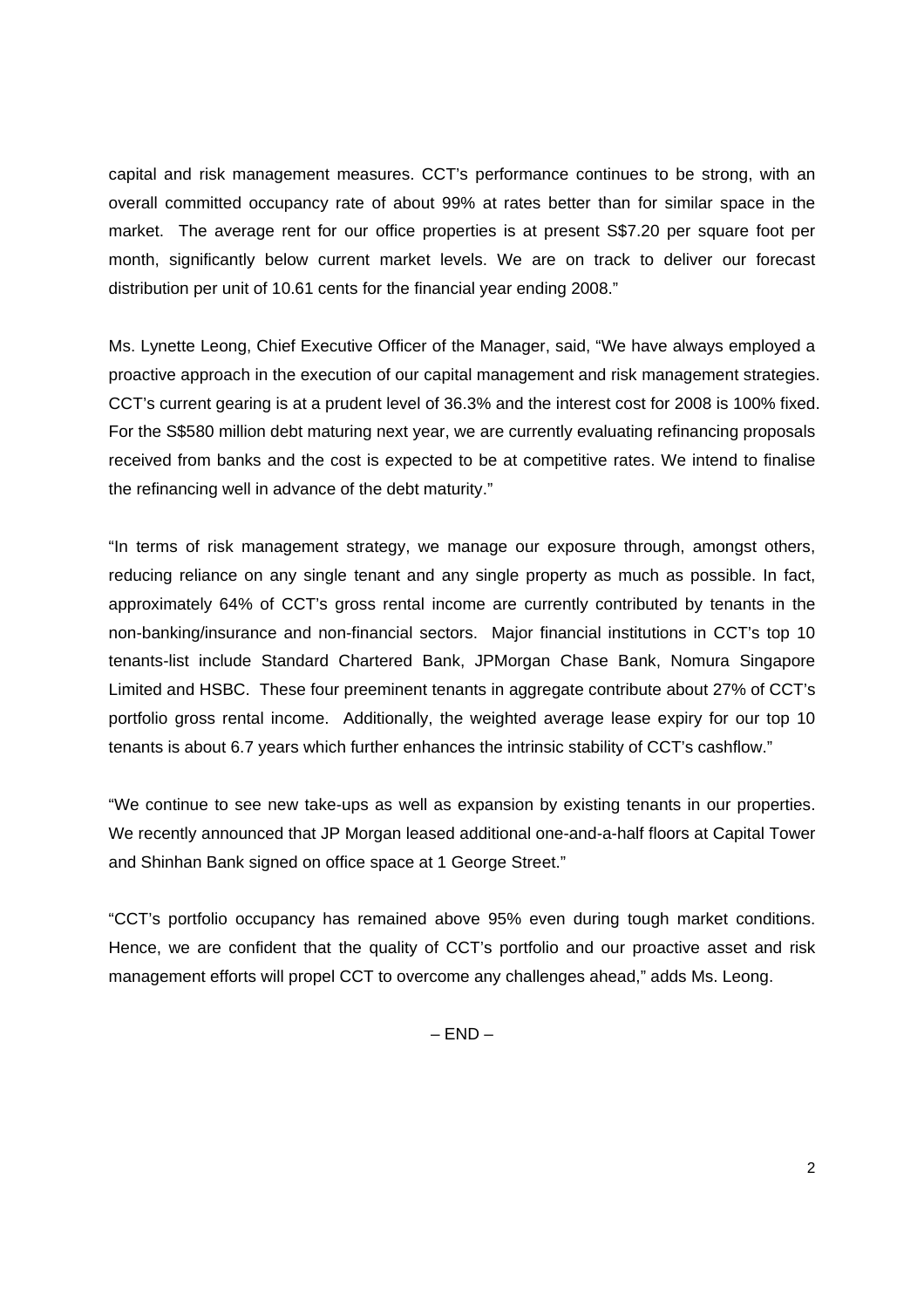capital and risk management measures. CCT's performance continues to be strong, with an overall committed occupancy rate of about 99% at rates better than for similar space in the market. The average rent for our office properties is at present S\$7.20 per square foot per month, significantly below current market levels. We are on track to deliver our forecast distribution per unit of 10.61 cents for the financial year ending 2008."

Ms. Lynette Leong, Chief Executive Officer of the Manager, said, "We have always employed a proactive approach in the execution of our capital management and risk management strategies. CCT's current gearing is at a prudent level of 36.3% and the interest cost for 2008 is 100% fixed. For the S\$580 million debt maturing next year, we are currently evaluating refinancing proposals received from banks and the cost is expected to be at competitive rates. We intend to finalise the refinancing well in advance of the debt maturity."

"In terms of risk management strategy, we manage our exposure through, amongst others, reducing reliance on any single tenant and any single property as much as possible. In fact, approximately 64% of CCT's gross rental income are currently contributed by tenants in the non-banking/insurance and non-financial sectors. Major financial institutions in CCT's top 10 tenants-list include Standard Chartered Bank, JPMorgan Chase Bank, Nomura Singapore Limited and HSBC. These four preeminent tenants in aggregate contribute about 27% of CCT's portfolio gross rental income. Additionally, the weighted average lease expiry for our top 10 tenants is about 6.7 years which further enhances the intrinsic stability of CCT's cashflow."

"We continue to see new take-ups as well as expansion by existing tenants in our properties. We recently announced that JP Morgan leased additional one-and-a-half floors at Capital Tower and Shinhan Bank signed on office space at 1 George Street."

"CCT's portfolio occupancy has remained above 95% even during tough market conditions. Hence, we are confident that the quality of CCT's portfolio and our proactive asset and risk management efforts will propel CCT to overcome any challenges ahead," adds Ms. Leong.

 $-$  END  $-$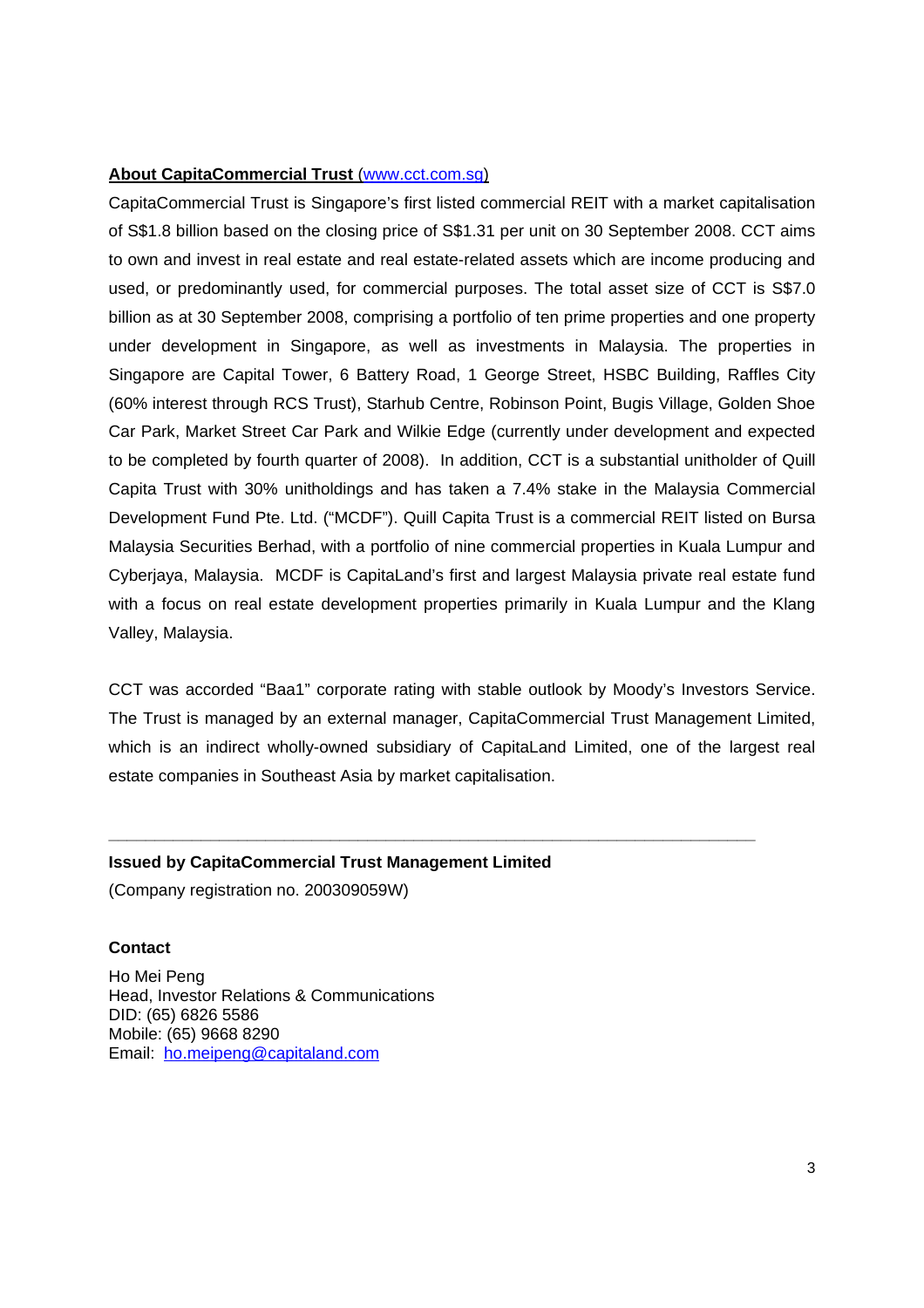## **About CapitaCommercial Trust** (www.cct.com.sg)

CapitaCommercial Trust is Singapore's first listed commercial REIT with a market capitalisation of S\$1.8 billion based on the closing price of S\$1.31 per unit on 30 September 2008. CCT aims to own and invest in real estate and real estate-related assets which are income producing and used, or predominantly used, for commercial purposes. The total asset size of CCT is S\$7.0 billion as at 30 September 2008, comprising a portfolio of ten prime properties and one property under development in Singapore, as well as investments in Malaysia. The properties in Singapore are Capital Tower, 6 Battery Road, 1 George Street, HSBC Building, Raffles City (60% interest through RCS Trust), Starhub Centre, Robinson Point, Bugis Village, Golden Shoe Car Park, Market Street Car Park and Wilkie Edge (currently under development and expected to be completed by fourth quarter of 2008). In addition, CCT is a substantial unitholder of Quill Capita Trust with 30% unitholdings and has taken a 7.4% stake in the Malaysia Commercial Development Fund Pte. Ltd. ("MCDF"). Quill Capita Trust is a commercial REIT listed on Bursa Malaysia Securities Berhad, with a portfolio of nine commercial properties in Kuala Lumpur and Cyberjaya, Malaysia. MCDF is CapitaLand's first and largest Malaysia private real estate fund with a focus on real estate development properties primarily in Kuala Lumpur and the Klang Valley, Malaysia.

CCT was accorded "Baa1" corporate rating with stable outlook by Moody's Investors Service. The Trust is managed by an external manager, CapitaCommercial Trust Management Limited, which is an indirect wholly-owned subsidiary of CapitaLand Limited, one of the largest real estate companies in Southeast Asia by market capitalisation.

**\_\_\_\_\_\_\_\_\_\_\_\_\_\_\_\_\_\_\_\_\_\_\_\_\_\_\_\_\_\_\_\_\_\_\_\_\_\_\_\_\_\_\_\_\_\_\_\_\_\_\_\_\_\_\_\_\_\_\_\_\_\_\_\_\_\_\_\_\_\_** 

## **Issued by CapitaCommercial Trust Management Limited**

(Company registration no. 200309059W)

#### **Contact**

Ho Mei Peng Head, Investor Relations & Communications DID: (65) 6826 5586 Mobile: (65) 9668 8290 Email: ho.meipeng@capitaland.com